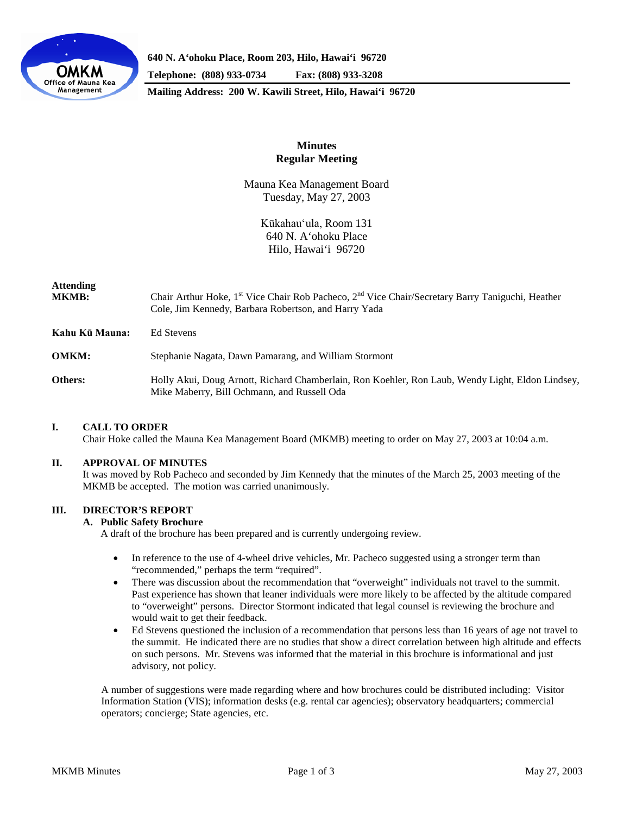

**640 N. A'ohoku Place, Room 203, Hilo, Hawai'i 96720**

**Telephone: (808) 933-0734 Fax: (808) 933-3208**

**Mailing Address: 200 W. Kawili Street, Hilo, Hawai'i 96720**

## **Minutes Regular Meeting**

Mauna Kea Management Board Tuesday, May 27, 2003

> Kūkahau'ula, Room 131 640 N. A'ohoku Place Hilo, Hawai'i 96720

# **Attending**

Chair Arthur Hoke, 1<sup>st</sup> Vice Chair Rob Pacheco, 2<sup>nd</sup> Vice Chair/Secretary Barry Taniguchi, Heather Cole, Jim Kennedy, Barbara Robertson, and Harry Yada

**Kahu Kū Mauna:** Ed Stevens

**OMKM:** Stephanie Nagata, Dawn Pamarang, and William Stormont

**Others:** Holly Akui, Doug Arnott, Richard Chamberlain, Ron Koehler, Ron Laub, Wendy Light, Eldon Lindsey, Mike Maberry, Bill Ochmann, and Russell Oda

## **I. CALL TO ORDER**

Chair Hoke called the Mauna Kea Management Board (MKMB) meeting to order on May 27, 2003 at 10:04 a.m.

#### **II. APPROVAL OF MINUTES**

It was moved by Rob Pacheco and seconded by Jim Kennedy that the minutes of the March 25, 2003 meeting of the MKMB be accepted. The motion was carried unanimously.

## **III. DIRECTOR'S REPORT**

## **A. Public Safety Brochure**

A draft of the brochure has been prepared and is currently undergoing review.

- In reference to the use of 4-wheel drive vehicles, Mr. Pacheco suggested using a stronger term than "recommended," perhaps the term "required".
- There was discussion about the recommendation that "overweight" individuals not travel to the summit. Past experience has shown that leaner individuals were more likely to be affected by the altitude compared to "overweight" persons. Director Stormont indicated that legal counsel is reviewing the brochure and would wait to get their feedback.
- Ed Stevens questioned the inclusion of a recommendation that persons less than 16 years of age not travel to the summit. He indicated there are no studies that show a direct correlation between high altitude and effects on such persons. Mr. Stevens was informed that the material in this brochure is informational and just advisory, not policy.

A number of suggestions were made regarding where and how brochures could be distributed including: Visitor Information Station (VIS); information desks (e.g. rental car agencies); observatory headquarters; commercial operators; concierge; State agencies, etc.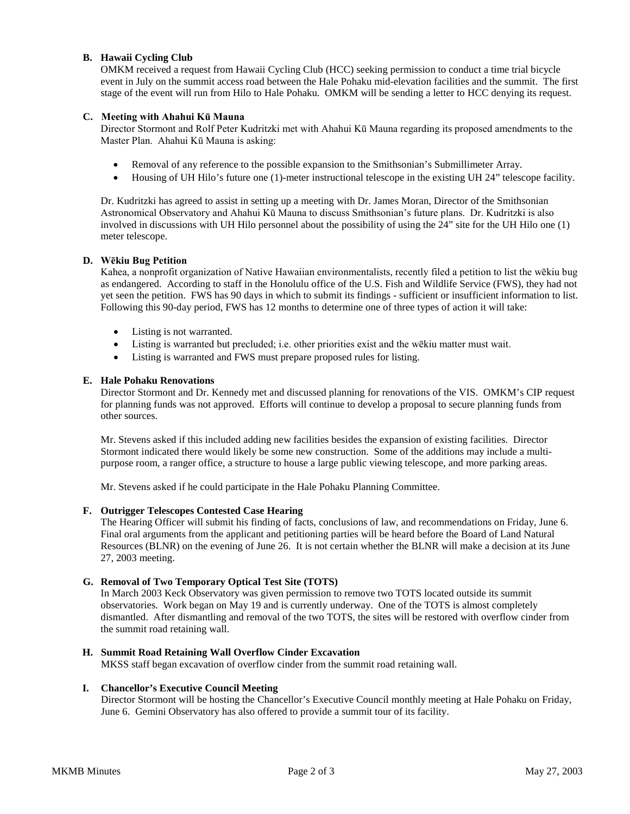## **B. Hawaii Cycling Club**

OMKM received a request from Hawaii Cycling Club (HCC) seeking permission to conduct a time trial bicycle event in July on the summit access road between the Hale Pohaku mid-elevation facilities and the summit. The first stage of the event will run from Hilo to Hale Pohaku. OMKM will be sending a letter to HCC denying its request.

### **C. Meeting with Ahahui Kū Mauna**

Director Stormont and Rolf Peter Kudritzki met with Ahahui Kū Mauna regarding its proposed amendments to the Master Plan. Ahahui Kū Mauna is asking:

- Removal of any reference to the possible expansion to the Smithsonian's Submillimeter Array.
- Housing of UH Hilo's future one (1)-meter instructional telescope in the existing UH 24" telescope facility.

Dr. Kudritzki has agreed to assist in setting up a meeting with Dr. James Moran, Director of the Smithsonian Astronomical Observatory and Ahahui Kū Mauna to discuss Smithsonian's future plans. Dr. Kudritzki is also involved in discussions with UH Hilo personnel about the possibility of using the 24" site for the UH Hilo one (1) meter telescope.

## **D. Wēkiu Bug Petition**

Kahea, a nonprofit organization of Native Hawaiian environmentalists, recently filed a petition to list the wēkiu bug as endangered. According to staff in the Honolulu office of the U.S. Fish and Wildlife Service (FWS), they had not yet seen the petition. FWS has 90 days in which to submit its findings - sufficient or insufficient information to list. Following this 90-day period, FWS has 12 months to determine one of three types of action it will take:

- Listing is not warranted.
- Listing is warranted but precluded; i.e. other priorities exist and the wēkiu matter must wait.
- Listing is warranted and FWS must prepare proposed rules for listing.

## **E. Hale Pohaku Renovations**

Director Stormont and Dr. Kennedy met and discussed planning for renovations of the VIS. OMKM's CIP request for planning funds was not approved. Efforts will continue to develop a proposal to secure planning funds from other sources.

Mr. Stevens asked if this included adding new facilities besides the expansion of existing facilities. Director Stormont indicated there would likely be some new construction. Some of the additions may include a multipurpose room, a ranger office, a structure to house a large public viewing telescope, and more parking areas.

Mr. Stevens asked if he could participate in the Hale Pohaku Planning Committee.

### **F. Outrigger Telescopes Contested Case Hearing**

The Hearing Officer will submit his finding of facts, conclusions of law, and recommendations on Friday, June 6. Final oral arguments from the applicant and petitioning parties will be heard before the Board of Land Natural Resources (BLNR) on the evening of June 26. It is not certain whether the BLNR will make a decision at its June 27, 2003 meeting.

## **G. Removal of Two Temporary Optical Test Site (TOTS)**

In March 2003 Keck Observatory was given permission to remove two TOTS located outside its summit observatories. Work began on May 19 and is currently underway. One of the TOTS is almost completely dismantled. After dismantling and removal of the two TOTS, the sites will be restored with overflow cinder from the summit road retaining wall.

## **H. Summit Road Retaining Wall Overflow Cinder Excavation**

MKSS staff began excavation of overflow cinder from the summit road retaining wall.

#### **I. Chancellor's Executive Council Meeting**

Director Stormont will be hosting the Chancellor's Executive Council monthly meeting at Hale Pohaku on Friday, June 6. Gemini Observatory has also offered to provide a summit tour of its facility.